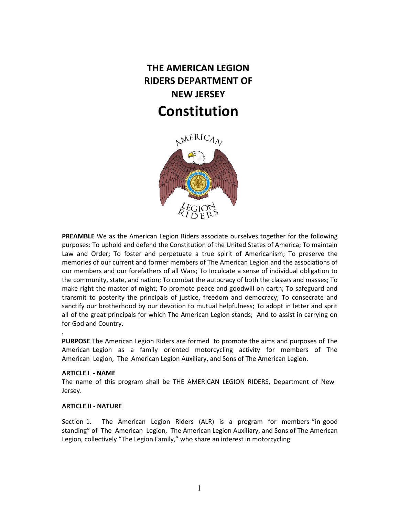## **THE AMERICAN LEGION RIDERS DEPARTMENT OF NEW JERSEY Constitution**



**PREAMBLE** We as the American Legion Riders associate ourselves together for the following purposes: To uphold and defend the Constitution of the United States of America; To maintain Law and Order; To foster and perpetuate a true spirit of Americanism; To preserve the memories of our current and former members of The American Legion and the associations of our members and our forefathers of all Wars; To Inculcate a sense of individual obligation to the community, state, and nation; To combat the autocracy of both the classes and masses; To make right the master of might; To promote peace and goodwill on earth; To safeguard and transmit to posterity the principals of justice, freedom and democracy; To consecrate and sanctify our brotherhood by our devotion to mutual helpfulness; To adopt in letter and sprit all of the great principals for which The American Legion stands; And to assist in carrying on for God and Country.

**PURPOSE** The American Legion Riders are formed to promote the aims and purposes of The American Legion as a family oriented motorcycling activity for members of The American Legion, The American Legion Auxiliary, and Sons of The American Legion.

## **ARTICLE I - NAME**

**.**

The name of this program shall be THE AMERICAN LEGION RIDERS, Department of New Jersey.

## **ARTICLE II - NATURE**

Section 1. The American Legion Riders (ALR) is a program for members "in good standing" of The American Legion, The American Legion Auxiliary, and Sons of The American Legion, collectively "The Legion Family," who share an interest in motorcycling.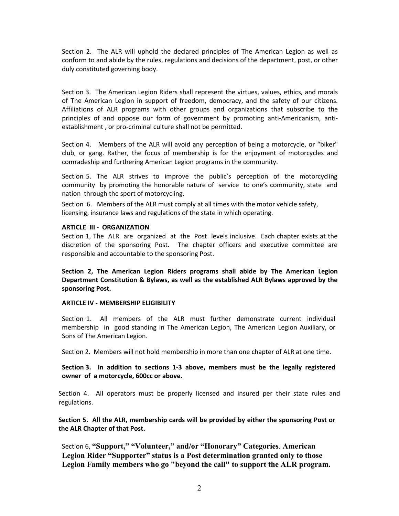Section 2. The ALR will uphold the declared principles of The American Legion as well as conform to and abide by the rules, regulations and decisions of the department, post, or other duly constituted governing body.

Section 3. The American Legion Riders shall represent the virtues, values, ethics, and morals of The American Legion in support of freedom, democracy, and the safety of our citizens. Affiliations of ALR programs with other groups and organizations that subscribe to the principles of and oppose our form of government by promoting anti-Americanism, antiestablishment , or pro-criminal culture shall not be permitted.

Section 4. Members of the ALR will avoid any perception of being a motorcycle, or "biker" club, or gang. Rather, the focus of membership is for the enjoyment of motorcycles and comradeship and furthering American Legion programs in the community.

Section 5. The ALR strives to improve the public's perception of the motorcycling community by promoting the honorable nature of service to one's community, state and nation through the sport of motorcycling.

Section 6. Members of the ALR must comply at all times with the motor vehicle safety, licensing, insurance laws and regulations of the state in which operating.

#### **ARTICLE III - ORGANIZATION**

Section 1, The ALR are organized at the Post levels inclusive. Each chapter exists at the discretion of the sponsoring Post. The chapter officers and executive committee are responsible and accountable to the sponsoring Post.

**Section 2, The American Legion Riders programs shall abide by The American Legion Department Constitution & Bylaws, as well as the established ALR Bylaws approved by the sponsoring Post.**

#### **ARTICLE IV - MEMBERSHIP ELIGIBILITY**

Section 1. All members of the ALR must further demonstrate current individual membership in good standing in The American Legion, The American Legion Auxiliary, or Sons of The American Legion.

Section 2. Members will not hold membership in more than one chapter of ALR at one time.

**Section 3. In addition to sections 1-3 above, members must be the legally registered owner of a motorcycle, 600cc or above.**

Section 4. All operators must be properly licensed and insured per their state rules and regulations.

**Section 5. All the ALR, membership cards will be provided by either the sponsoring Post or the ALR Chapter of that Post.**

Section 6, **"Support," "Volunteer," and/or "Honorary" Categories**. **American Legion Rider "Supporter" status is a Post determination granted only to those Legion Family members who go "beyond the call" to support the ALR program.**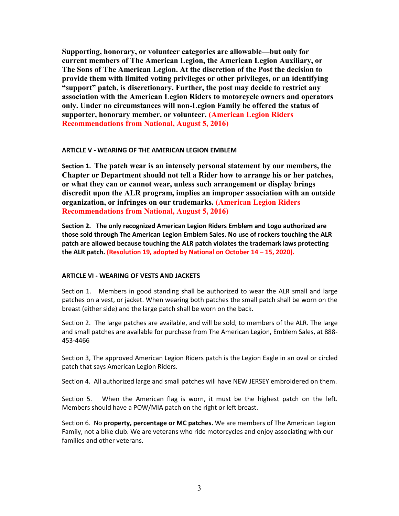**Supporting, honorary, or volunteer categories are allowable—but only for current members of The American Legion, the American Legion Auxiliary, or The Sons of The American Legion. At the discretion of the Post the decision to provide them with limited voting privileges or other privileges, or an identifying "support" patch, is discretionary. Further, the post may decide to restrict any association with the American Legion Riders to motorcycle owners and operators only. Under no circumstances will non-Legion Family be offered the status of supporter, honorary member, or volunteer. (American Legion Riders Recommendations from National, August 5, 2016)**

## **ARTICLE V - WEARING OF THE AMERICAN LEGION EMBLEM**

**Section 1. The patch wear is an intensely personal statement by our members, the Chapter or Department should not tell a Rider how to arrange his or her patches, or what they can or cannot wear, unless such arrangement or display brings discredit upon the ALR program, implies an improper association with an outside organization, or infringes on our trademarks. (American Legion Riders Recommendations from National, August 5, 2016)**

**Section 2. The only recognized American Legion Riders Emblem and Logo authorized are those sold through The American Legion Emblem Sales. No use of rockers touching the ALR patch are allowed because touching the ALR patch violates the trademark laws protecting the ALR patch. (Resolution 19, adopted by National on October 14 – 15, 2020).** 

## **ARTICLE VI - WEARING OF VESTS AND JACKETS**

Section 1. Members in good standing shall be authorized to wear the ALR small and large patches on a vest, or jacket. When wearing both patches the small patch shall be worn on the breast (either side) and the large patch shall be worn on the back.

Section 2. The large patches are available, and will be sold, to members of the ALR. The large and small patches are available for purchase from The American Legion, Emblem Sales, at 888- 453-4466

Section 3, The approved American Legion Riders patch is the Legion Eagle in an oval or circled patch that says American Legion Riders.

Section 4. All authorized large and small patches will have NEW JERSEY embroidered on them.

Section 5. When the American flag is worn, it must be the highest patch on the left. Members should have a POW/MIA patch on the right or left breast.

Section 6. No **property, percentage or MC patches.** We are members of The American Legion Family, not a bike club. We are veterans who ride motorcycles and enjoy associating with our families and other veterans.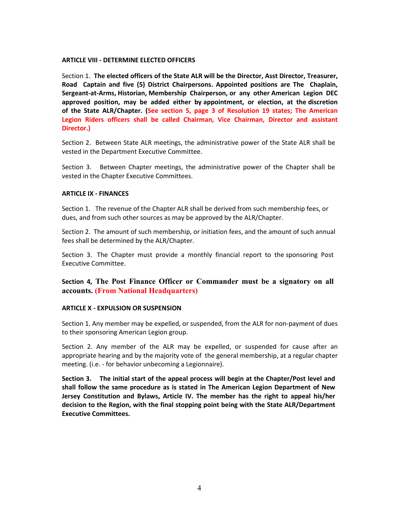## **ARTICLE VIII - DETERMINE ELECTED OFFICERS**

Section 1. **The elected officers of the State ALR will be the Director, Asst Director, Treasurer, Road Captain and five (5) District Chairpersons. Appointed positions are The Chaplain, Sergeant-at-Arms, Historian, Membership Chairperson, or any other American Legion DEC approved position, may be added either by appointment, or election, at the discretion of the State ALR/Chapter. (See section 5, page 3 of Resolution 19 states; The American Legion Riders officers shall be called Chairman, Vice Chairman, Director and assistant Director.)**

Section 2. Between State ALR meetings, the administrative power of the State ALR shall be vested in the Department Executive Committee.

Section 3. Between Chapter meetings, the administrative power of the Chapter shall be vested in the Chapter Executive Committees.

## **ARTICLE IX - FINANCES**

Section 1. The revenue of the Chapter ALR shall be derived from such membership fees, or dues, and from such other sources as may be approved by the ALR/Chapter.

Section 2. The amount of such membership, or initiation fees, and the amount of such annual fees shall be determined by the ALR/Chapter.

Section 3. The Chapter must provide a monthly financial report to the sponsoring Post Executive Committee.

**Section 4, The Post Finance Officer or Commander must be a signatory on all accounts. (From National Headquarters)** 

## **ARTICLE X - EXPULSION OR SUSPENSION**

Section 1. Any member may be expelled, or suspended, from the ALR for non-payment of dues to their sponsoring American Legion group.

Section 2. Any member of the ALR may be expelled, or suspended for cause after an appropriate hearing and by the majority vote of the general membership, at a regular chapter meeting. (i.e. - for behavior unbecoming a Legionnaire).

**Section 3. The initial start of the appeal process will begin at the Chapter/Post level and shall follow the same procedure as is stated in The American Legion Department of New Jersey Constitution and Bylaws, Article IV. The member has the right to appeal his/her decision to the Region, with the final stopping point being with the State ALR/Department Executive Committees.**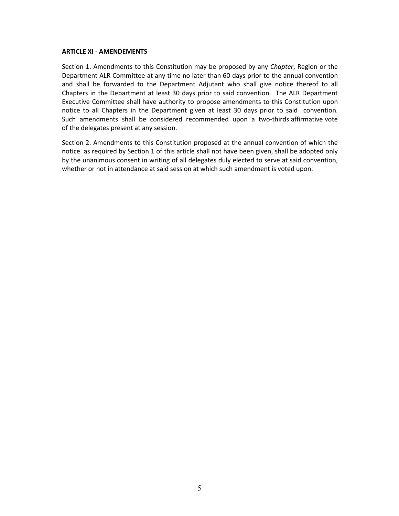## **ARTICLE XI - AMENDEMENTS**

Section 1. Amendments to this Constitution may be proposed by any *Chapter*, Region or the Department ALR Committee at any time no later than 60 days prior to the annual convention and shall be forwarded to the Department Adjutant who shall give notice thereof to all Chapters in the Department at least 30 days prior to said convention. The ALR Department Executive Committee shall have authority to propose amendments to this Constitution upon notice to all Chapters in the Department given at least 30 days prior to said convention. Such amendments shall be considered recommended upon a two-thirds affirmative vote of the delegates present at any session.

Section 2. Amendments to this Constitution proposed at the annual convention of which the notice as required by Section 1 of this article shall not have been given, shall be adopted only by the unanimous consent in writing of all delegates duly elected to serve at said convention, whether or not in attendance at said session at which such amendment is voted upon.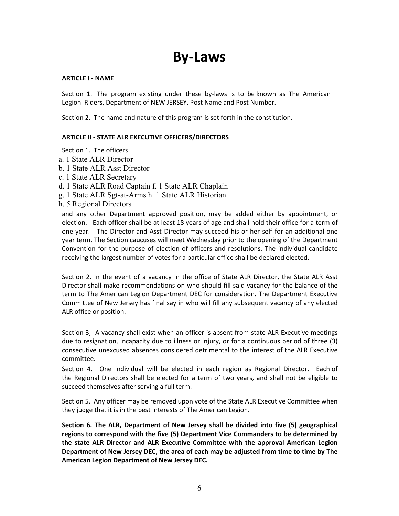# **By-Laws**

## **ARTICLE I - NAME**

Section 1. The program existing under these by-laws is to be known as The American Legion Riders, Department of NEW JERSEY, Post Name and Post Number.

Section 2. The name and nature of this program is set forth in the constitution.

## **ARTICLE II - STATE ALR EXECUTIVE OFFICERS/DIRECTORS**

Section 1. The officers

- a. 1 State ALR Director
- b. 1 State ALR Asst Director
- c. 1 State ALR Secretary
- d. 1 State ALR Road Captain f. 1 State ALR Chaplain
- g. 1 State ALR Sgt-at-Arms h. 1 State ALR Historian
- h. 5 Regional Directors

and any other Department approved position, may be added either by appointment, or election. Each officer shall be at least 18 years of age and shall hold their office for a term of one year. The Director and Asst Director may succeed his or her self for an additional one year term. The Section caucuses will meet Wednesday prior to the opening of the Department Convention for the purpose of election of officers and resolutions. The individual candidate receiving the largest number of votes for a particular office shall be declared elected.

Section 2. In the event of a vacancy in the office of State ALR Director, the State ALR Asst Director shall make recommendations on who should fill said vacancy for the balance of the term to The American Legion Department DEC for consideration. The Department Executive Committee of New Jersey has final say in who will fill any subsequent vacancy of any elected ALR office or position.

Section 3, A vacancy shall exist when an officer is absent from state ALR Executive meetings due to resignation, incapacity due to illness or injury, or for a continuous period of three (3) consecutive unexcused absences considered detrimental to the interest of the ALR Executive committee.

Section 4. One individual will be elected in each region as Regional Director. Each of the Regional Directors shall be elected for a term of two years, and shall not be eligible to succeed themselves after serving a full term.

Section 5. Any officer may be removed upon vote of the State ALR Executive Committee when they judge that it is in the best interests of The American Legion.

**Section 6. The ALR, Department of New Jersey shall be divided into five (5) geographical regions to correspond with the five (5) Department Vice Commanders to be determined by the state ALR Director and ALR Executive Committee with the approval American Legion Department of New Jersey DEC, the area of each may be adjusted from time to time by The American Legion Department of New Jersey DEC.**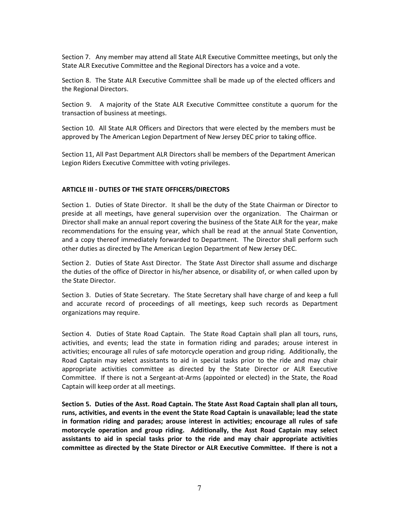Section 7. Any member may attend all State ALR Executive Committee meetings, but only the State ALR Executive Committee and the Regional Directors has a voice and a vote.

Section 8. The State ALR Executive Committee shall be made up of the elected officers and the Regional Directors.

Section 9. A majority of the State ALR Executive Committee constitute a quorum for the transaction of business at meetings.

Section 10. All State ALR Officers and Directors that were elected by the members must be approved by The American Legion Department of New Jersey DEC prior to taking office.

Section 11, All Past Department ALR Directors shall be members of the Department American Legion Riders Executive Committee with voting privileges.

## **ARTICLE III - DUTIES OF THE STATE OFFICERS/DIRECTORS**

Section 1. Duties of State Director. It shall be the duty of the State Chairman or Director to preside at all meetings, have general supervision over the organization. The Chairman or Director shall make an annual report covering the business of the State ALR for the year, make recommendations for the ensuing year, which shall be read at the annual State Convention, and a copy thereof immediately forwarded to Department. The Director shall perform such other duties as directed by The American Legion Department of New Jersey DEC.

Section 2. Duties of State Asst Director. The State Asst Director shall assume and discharge the duties of the office of Director in his/her absence, or disability of, or when called upon by the State Director.

Section 3. Duties of State Secretary. The State Secretary shall have charge of and keep a full and accurate record of proceedings of all meetings, keep such records as Department organizations may require.

Section 4. Duties of State Road Captain. The State Road Captain shall plan all tours, runs, activities, and events; lead the state in formation riding and parades; arouse interest in activities; encourage all rules of safe motorcycle operation and group riding. Additionally, the Road Captain may select assistants to aid in special tasks prior to the ride and may chair appropriate activities committee as directed by the State Director or ALR Executive Committee. If there is not a Sergeant-at-Arms (appointed or elected) in the State, the Road Captain will keep order at all meetings.

**Section 5. Duties of the Asst. Road Captain. The State Asst Road Captain shall plan all tours, runs, activities, and events in the event the State Road Captain is unavailable; lead the state in formation riding and parades; arouse interest in activities; encourage all rules of safe motorcycle operation and group riding. Additionally, the Asst Road Captain may select assistants to aid in special tasks prior to the ride and may chair appropriate activities committee as directed by the State Director or ALR Executive Committee. If there is not a**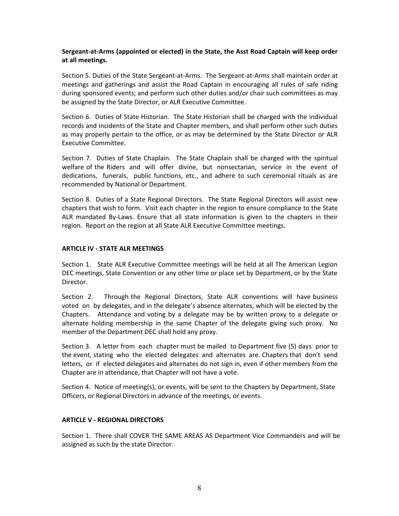## **Sergeant-at-Arms (appointed or elected) in the State, the Asst Road Captain will keep order at all meetings.**

Section 5. Duties of the State Sergeant-at-Arms. The Sergeant-at-Arms shall maintain order at meetings and gatherings and assist the Road Captain in encouraging all rules of safe riding during sponsored events; and perform such other duties and/or chair such committees as may be assigned by the State Director, or ALR Executive Committee.

Section 6. Duties of State Historian. The State Historian shall be charged with the individual records and incidents of the State and Chapter members, and shall perform other such duties as may properly pertain to the office, or as may be determined by the State Director or ALR Executive Committee.

Section 7. Duties of State Chaplain. The State Chaplain shall be charged with the spiritual welfare of the Riders and will offer divine, but nonsectarian, service in the event of dedications, funerals, public functions, etc., and adhere to such ceremonial rituals as are recommended by National or Department.

Section 8. Duties of a State Regional Directors. The State Regional Directors will assist new chapters that wish to form. Visit each chapter in the region to ensure compliance to the State ALR mandated By-Laws. Ensure that all state information is given to the chapters in their region. Report on the region at all State ALR Executive Committee meetings.

## **ARTICLE IV - STATE ALR MEETINGS**

Section 1. State ALR Executive Committee meetings will be held at all The American Legion DEC meetings, State Convention or any other time or place set by Department, or by the State Director.

Section 2. Through the Regional Directors, State ALR conventions will have business voted on by delegates, and in the delegate's absence alternates, which will be elected by the Chapters. Attendance and voting by a delegate may be by written proxy to a delegate or alternate holding membership in the same Chapter of the delegate giving such proxy. No member of the Department DEC shall hold any proxy.

Section 3. A letter from each chapter must be mailed to Department five (5) days prior to the event, stating who the elected delegates and alternates are. Chapters that don't send letters, or if elected delegates and alternates do not sign in, even if other members from the Chapter are in attendance, that Chapter will not have a vote.

Section 4. Notice of meeting(s), or events, will be sent to the Chapters by Department, State Officers, or Regional Directors in advance of the meetings, or events.

## **ARTICLE V - REGIONAL DIRECTORS**

Section 1. There shall COVER THE SAME AREAS AS Department Vice Commanders and will be assigned as such by the state Director.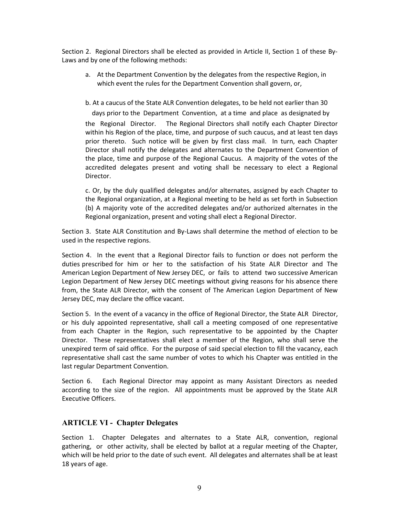Section 2. Regional Directors shall be elected as provided in Article II, Section 1 of these By-Laws and by one of the following methods:

a. At the Department Convention by the delegates from the respective Region, in which event the rules for the Department Convention shall govern, or,

b. At a caucus of the State ALR Convention delegates, to be held not earlier than 30

 days prior to the Department Convention, at a time and place as designated by the Regional Director. The Regional Directors shall notify each Chapter Director within his Region of the place, time, and purpose of such caucus, and at least ten days prior thereto. Such notice will be given by first class mail. In turn, each Chapter Director shall notify the delegates and alternates to the Department Convention of the place, time and purpose of the Regional Caucus. A majority of the votes of the accredited delegates present and voting shall be necessary to elect a Regional Director.

c. Or, by the duly qualified delegates and/or alternates, assigned by each Chapter to the Regional organization, at a Regional meeting to be held as set forth in Subsection (b) A majority vote of the accredited delegates and/or authorized alternates in the Regional organization, present and voting shall elect a Regional Director.

Section 3. State ALR Constitution and By-Laws shall determine the method of election to be used in the respective regions.

Section 4. In the event that a Regional Director fails to function or does not perform the duties prescribed for him or her to the satisfaction of his State ALR Director and The American Legion Department of New Jersey DEC, or fails to attend two successive American Legion Department of New Jersey DEC meetings without giving reasons for his absence there from, the State ALR Director, with the consent of The American Legion Department of New Jersey DEC, may declare the office vacant.

Section 5. In the event of a vacancy in the office of Regional Director, the State ALR Director, or his duly appointed representative, shall call a meeting composed of one representative from each Chapter in the Region, such representative to be appointed by the Chapter Director. These representatives shall elect a member of the Region, who shall serve the unexpired term of said office. For the purpose of said special election to fill the vacancy, each representative shall cast the same number of votes to which his Chapter was entitled in the last regular Department Convention.

Section 6. Each Regional Director may appoint as many Assistant Directors as needed according to the size of the region. All appointments must be approved by the State ALR Executive Officers.

## **ARTICLE VI - Chapter Delegates**

Section 1. Chapter Delegates and alternates to a State ALR, convention, regional gathering, or other activity, shall be elected by ballot at a regular meeting of the Chapter, which will be held prior to the date of such event. All delegates and alternates shall be at least 18 years of age.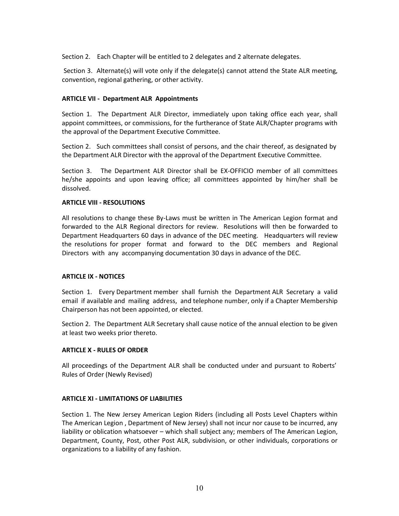Section 2. Each Chapter will be entitled to 2 delegates and 2 alternate delegates.

Section 3. Alternate(s) will vote only if the delegate(s) cannot attend the State ALR meeting, convention, regional gathering, or other activity.

## **ARTICLE VII - Department ALR Appointments**

Section 1. The Department ALR Director, immediately upon taking office each year, shall appoint committees, or commissions, for the furtherance of State ALR/Chapter programs with the approval of the Department Executive Committee.

Section 2. Such committees shall consist of persons, and the chair thereof, as designated by the Department ALR Director with the approval of the Department Executive Committee.

Section 3. The Department ALR Director shall be EX-OFFICIO member of all committees he/she appoints and upon leaving office; all committees appointed by him/her shall be dissolved.

## **ARTICLE VIII - RESOLUTIONS**

All resolutions to change these By-Laws must be written in The American Legion format and forwarded to the ALR Regional directors for review. Resolutions will then be forwarded to Department Headquarters 60 days in advance of the DEC meeting. Headquarters will review the resolutions for proper format and forward to the DEC members and Regional Directors with any accompanying documentation 30 days in advance of the DEC.

## **ARTICLE IX - NOTICES**

Section 1. Every Department member shall furnish the Department ALR Secretary a valid email if available and mailing address, and telephone number, only if a Chapter Membership Chairperson has not been appointed, or elected.

Section 2. The Department ALR Secretary shall cause notice of the annual election to be given at least two weeks prior thereto.

## **ARTICLE X - RULES OF ORDER**

All proceedings of the Department ALR shall be conducted under and pursuant to Roberts' Rules of Order (Newly Revised)

## **ARTICLE XI - LIMITATIONS OF LIABILITIES**

Section 1. The New Jersey American Legion Riders (including all Posts Level Chapters within The American Legion , Department of New Jersey) shall not incur nor cause to be incurred, any liability or oblication whatsoever – which shall subject any; members of The American Legion, Department, County, Post, other Post ALR, subdivision, or other individuals, corporations or organizations to a liability of any fashion.